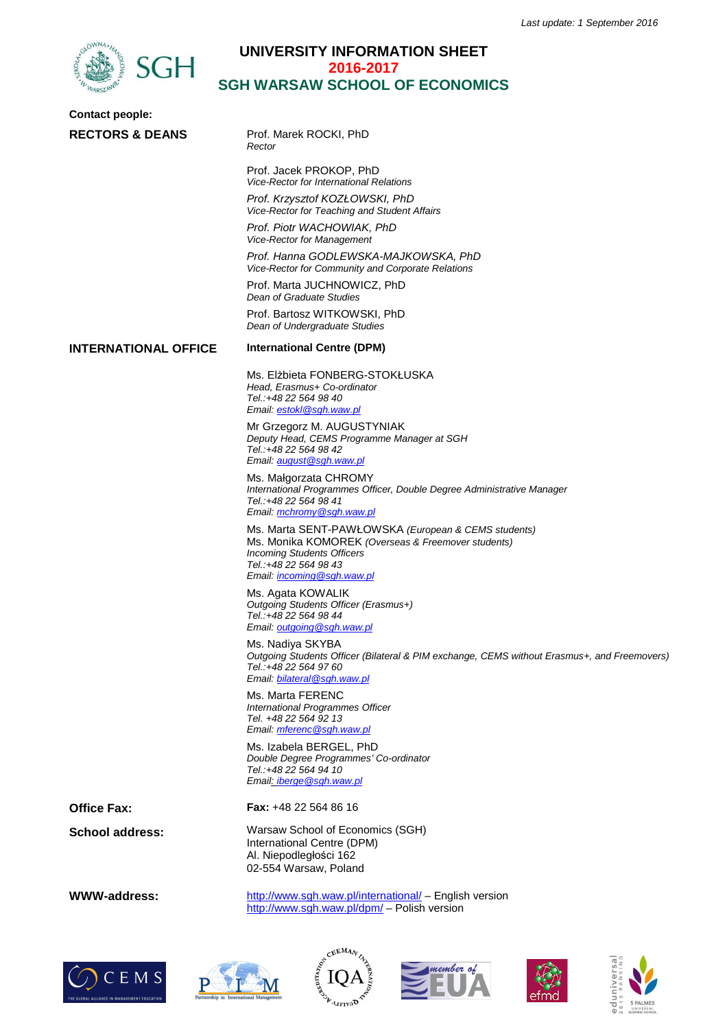

## **UNIVERSITY INFORMATION SHEET 2016-2017 SGH WARSAW SCHOOL OF ECONOMICS**

| <b>Contact people:</b>      |                                                                                                                                                                                                       |
|-----------------------------|-------------------------------------------------------------------------------------------------------------------------------------------------------------------------------------------------------|
| <b>RECTORS &amp; DEANS</b>  | Prof. Marek ROCKI, PhD<br>Rector                                                                                                                                                                      |
|                             | Prof. Jacek PROKOP, PhD<br>Vice-Rector for International Relations                                                                                                                                    |
|                             | Prof. Krzysztof KOZŁOWSKI, PhD<br>Vice-Rector for Teaching and Student Affairs                                                                                                                        |
|                             | Prof. Piotr WACHOWIAK, PhD<br>Vice-Rector for Management                                                                                                                                              |
|                             | Prof. Hanna GODLEWSKA-MAJKOWSKA, PhD<br>Vice-Rector for Community and Corporate Relations                                                                                                             |
|                             | Prof. Marta JUCHNOWICZ, PhD<br>Dean of Graduate Studies                                                                                                                                               |
|                             | Prof. Bartosz WITKOWSKI, PhD<br>Dean of Undergraduate Studies                                                                                                                                         |
| <b>INTERNATIONAL OFFICE</b> | <b>International Centre (DPM)</b>                                                                                                                                                                     |
|                             | Ms. Elżbieta FONBERG-STOKŁUSKA<br>Head, Erasmus+ Co-ordinator<br>Tel.:+48 22 564 98 40<br>Email: estokl@sgh.waw.pl                                                                                    |
|                             | Mr Grzegorz M. AUGUSTYNIAK<br>Deputy Head, CEMS Programme Manager at SGH<br>Tel.:+48 22 564 98 42<br>Email: august@sgh.waw.pl                                                                         |
|                             | Ms. Małgorzata CHROMY<br>International Programmes Officer, Double Degree Administrative Manager<br>Tel.:+48 22 564 98 41<br>Email: mchromy@sgh.waw.pl                                                 |
|                             | Ms. Marta SENT-PAWŁOWSKA (European & CEMS students)<br>Ms. Monika KOMOREK (Overseas & Freemover students)<br><b>Incoming Students Officers</b><br>Tel.:+48 22 564 98 43<br>Email: incoming@sgh.waw.pl |
|                             | Ms. Agata KOWALIK<br>Outgoing Students Officer (Erasmus+)<br>Tel.:+48 22 564 98 44<br>Email: outgoing@sgh.waw.pl                                                                                      |
|                             | Ms. Nadiya SKYBA<br>Outgoing Students Officer (Bilateral & PIM exchange, CEMS without Erasmus+, and Freemovers)<br>Tel.:+48 22 564 97 60<br>Email: bilateral@sgh.waw.pl                               |
|                             | Ms. Marta FERENC<br>International Programmes Officer<br>Tel. +48 22 564 92 13<br>Email: mferenc@sqh.waw.pl                                                                                            |
|                             | Ms. Izabela BERGEL, PhD<br>Double Degree Programmes' Co-ordinator<br>Tel.:+48 22 564 94 10<br>Email: iberge @sgh.waw.pl                                                                               |
| <b>Office Fax:</b>          | <b>Fax:</b> $+48$ 22 564 86 16                                                                                                                                                                        |
| <b>School address:</b>      | Warsaw School of Economics (SGH)<br>International Centre (DPM)<br>Al. Niepodległości 162<br>02-554 Warsaw, Poland                                                                                     |
|                             |                                                                                                                                                                                                       |

WWW-address: http://www.sgh.waw.pl/international/ – English version http://www.sgh.waw.pl/dpm/ - Polish version











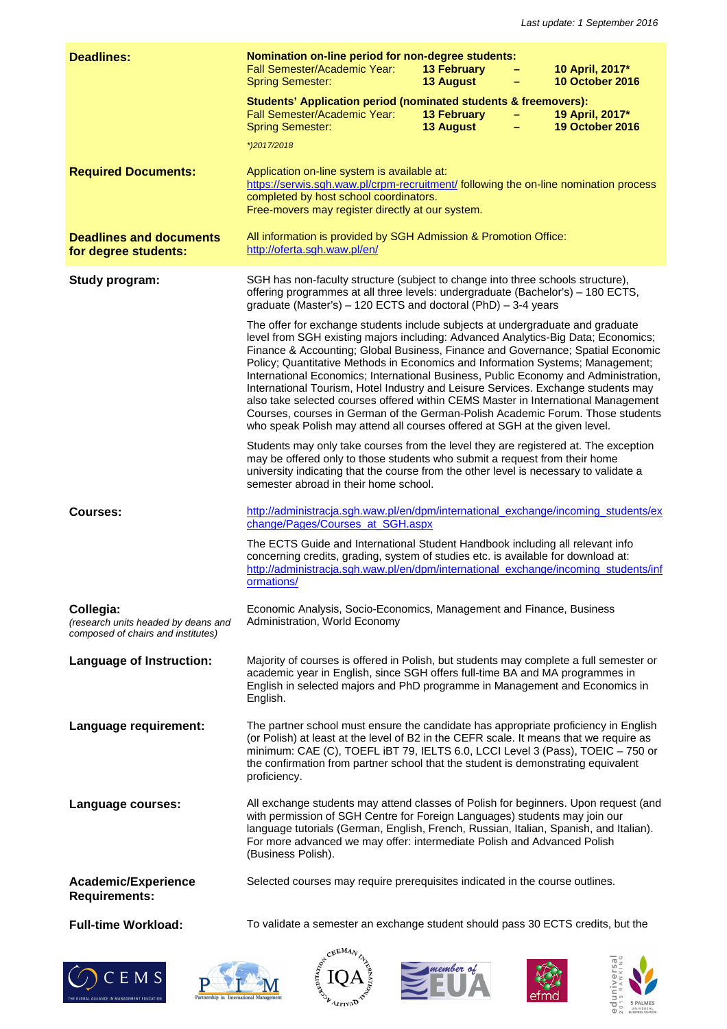| <b>Deadlines:</b>                                                                      | Nomination on-line period for non-degree students:<br>Fall Semester/Academic Year:<br><b>Spring Semester:</b>                                                                                                                                                                                                                                                                                                                                                                                                                                                                                                                                                                                                                                                             | <b>13 February</b><br><b>13 August</b> |  | 10 April, 2017*<br><b>10 October 2016</b> |
|----------------------------------------------------------------------------------------|---------------------------------------------------------------------------------------------------------------------------------------------------------------------------------------------------------------------------------------------------------------------------------------------------------------------------------------------------------------------------------------------------------------------------------------------------------------------------------------------------------------------------------------------------------------------------------------------------------------------------------------------------------------------------------------------------------------------------------------------------------------------------|----------------------------------------|--|-------------------------------------------|
|                                                                                        | Students' Application period (nominated students & freemovers):<br>Fall Semester/Academic Year:<br><b>Spring Semester:</b>                                                                                                                                                                                                                                                                                                                                                                                                                                                                                                                                                                                                                                                | <b>13 February</b><br><b>13 August</b> |  | 19 April, 2017*<br><b>19 October 2016</b> |
|                                                                                        | *)2017/2018                                                                                                                                                                                                                                                                                                                                                                                                                                                                                                                                                                                                                                                                                                                                                               |                                        |  |                                           |
| <b>Required Documents:</b>                                                             | Application on-line system is available at:<br>https://serwis.sgh.waw.pl/crpm-recruitment/ following the on-line nomination process<br>completed by host school coordinators.<br>Free-movers may register directly at our system.                                                                                                                                                                                                                                                                                                                                                                                                                                                                                                                                         |                                        |  |                                           |
| <b>Deadlines and documents</b><br>for degree students:                                 | All information is provided by SGH Admission & Promotion Office:<br>http://oferta.sgh.waw.pl/en/                                                                                                                                                                                                                                                                                                                                                                                                                                                                                                                                                                                                                                                                          |                                        |  |                                           |
| Study program:                                                                         | SGH has non-faculty structure (subject to change into three schools structure),<br>offering programmes at all three levels: undergraduate (Bachelor's) - 180 ECTS,<br>graduate (Master's) - 120 ECTS and doctoral (PhD) - 3-4 years                                                                                                                                                                                                                                                                                                                                                                                                                                                                                                                                       |                                        |  |                                           |
|                                                                                        | The offer for exchange students include subjects at undergraduate and graduate<br>level from SGH existing majors including: Advanced Analytics-Big Data; Economics;<br>Finance & Accounting; Global Business, Finance and Governance; Spatial Economic<br>Policy; Quantitative Methods in Economics and Information Systems; Management;<br>International Economics; International Business, Public Economy and Administration,<br>International Tourism, Hotel Industry and Leisure Services. Exchange students may<br>also take selected courses offered within CEMS Master in International Management<br>Courses, courses in German of the German-Polish Academic Forum. Those students<br>who speak Polish may attend all courses offered at SGH at the given level. |                                        |  |                                           |
|                                                                                        | Students may only take courses from the level they are registered at. The exception<br>may be offered only to those students who submit a request from their home<br>university indicating that the course from the other level is necessary to validate a<br>semester abroad in their home school.                                                                                                                                                                                                                                                                                                                                                                                                                                                                       |                                        |  |                                           |
| Courses:                                                                               | http://administracja.sgh.waw.pl/en/dpm/international_exchange/incoming_students/ex<br>change/Pages/Courses at SGH.aspx                                                                                                                                                                                                                                                                                                                                                                                                                                                                                                                                                                                                                                                    |                                        |  |                                           |
|                                                                                        | The ECTS Guide and International Student Handbook including all relevant info<br>concerning credits, grading, system of studies etc. is available for download at:<br>http://administracja.sgh.waw.pl/en/dpm/international_exchange/incoming_students/inf<br>ormations/                                                                                                                                                                                                                                                                                                                                                                                                                                                                                                   |                                        |  |                                           |
| Collegia:<br>(research units headed by deans and<br>composed of chairs and institutes) | Economic Analysis, Socio-Economics, Management and Finance, Business<br>Administration, World Economy                                                                                                                                                                                                                                                                                                                                                                                                                                                                                                                                                                                                                                                                     |                                        |  |                                           |
| <b>Language of Instruction:</b>                                                        | Majority of courses is offered in Polish, but students may complete a full semester or<br>academic year in English, since SGH offers full-time BA and MA programmes in<br>English in selected majors and PhD programme in Management and Economics in<br>English.                                                                                                                                                                                                                                                                                                                                                                                                                                                                                                         |                                        |  |                                           |
| Language requirement:                                                                  | The partner school must ensure the candidate has appropriate proficiency in English<br>(or Polish) at least at the level of B2 in the CEFR scale. It means that we require as<br>minimum: CAE (C), TOEFL iBT 79, IELTS 6.0, LCCI Level 3 (Pass), TOEIC - 750 or<br>the confirmation from partner school that the student is demonstrating equivalent<br>proficiency.                                                                                                                                                                                                                                                                                                                                                                                                      |                                        |  |                                           |
| Language courses:                                                                      | All exchange students may attend classes of Polish for beginners. Upon request (and<br>with permission of SGH Centre for Foreign Languages) students may join our<br>language tutorials (German, English, French, Russian, Italian, Spanish, and Italian).<br>For more advanced we may offer: intermediate Polish and Advanced Polish<br>(Business Polish).                                                                                                                                                                                                                                                                                                                                                                                                               |                                        |  |                                           |
| Academic/Experience<br><b>Requirements:</b>                                            | Selected courses may require prerequisites indicated in the course outlines.                                                                                                                                                                                                                                                                                                                                                                                                                                                                                                                                                                                                                                                                                              |                                        |  |                                           |
| <b>Full-time Workload:</b>                                                             | To validate a semester an exchange student should pass 30 ECTS credits, but the                                                                                                                                                                                                                                                                                                                                                                                                                                                                                                                                                                                                                                                                                           |                                        |  |                                           |











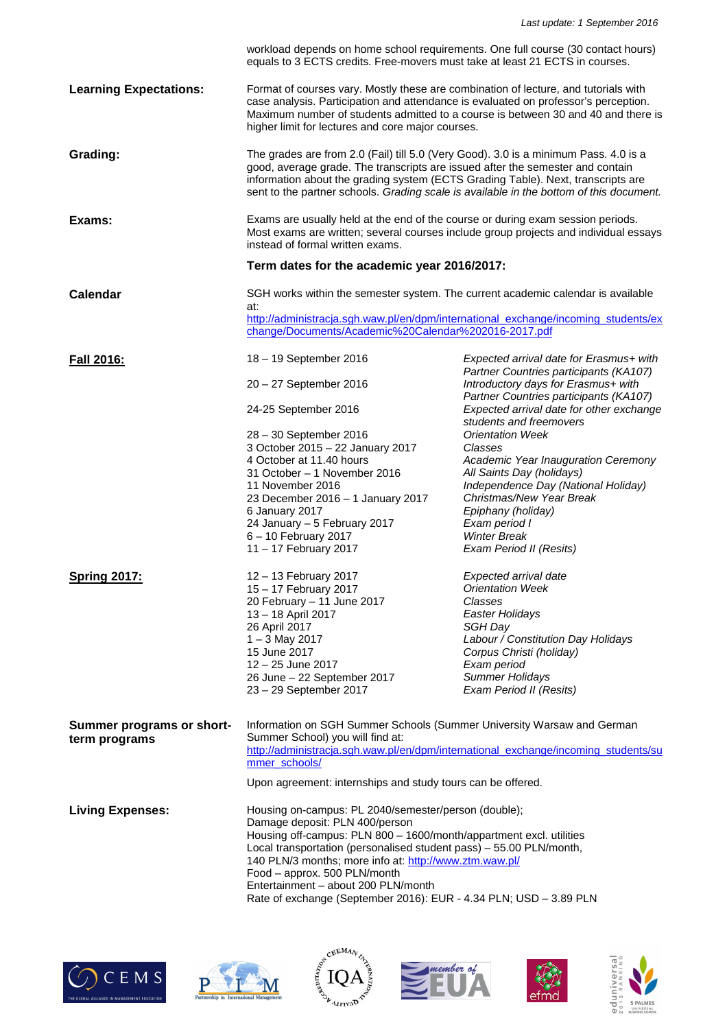|                               | workload depends on home school requirements. One full course (30 contact hours)<br>equals to 3 ECTS credits. Free-movers must take at least 21 ECTS in courses.                                                                                                                                                                                      |                                                                                                               |  |  |
|-------------------------------|-------------------------------------------------------------------------------------------------------------------------------------------------------------------------------------------------------------------------------------------------------------------------------------------------------------------------------------------------------|---------------------------------------------------------------------------------------------------------------|--|--|
| <b>Learning Expectations:</b> | Format of courses vary. Mostly these are combination of lecture, and tutorials with<br>case analysis. Participation and attendance is evaluated on professor's perception.<br>Maximum number of students admitted to a course is between 30 and 40 and there is<br>higher limit for lectures and core major courses.                                  |                                                                                                               |  |  |
| Grading:                      | The grades are from 2.0 (Fail) till 5.0 (Very Good). 3.0 is a minimum Pass. 4.0 is a<br>good, average grade. The transcripts are issued after the semester and contain<br>information about the grading system (ECTS Grading Table). Next, transcripts are<br>sent to the partner schools. Grading scale is available in the bottom of this document. |                                                                                                               |  |  |
| Exams:                        | Exams are usually held at the end of the course or during exam session periods.<br>Most exams are written; several courses include group projects and individual essays<br>instead of formal written exams.                                                                                                                                           |                                                                                                               |  |  |
|                               | Term dates for the academic year 2016/2017:                                                                                                                                                                                                                                                                                                           |                                                                                                               |  |  |
| Calendar                      | SGH works within the semester system. The current academic calendar is available<br>at:<br>http://administracja.sgh.waw.pl/en/dpm/international_exchange/incoming_students/ex                                                                                                                                                                         |                                                                                                               |  |  |
|                               | change/Documents/Academic%20Calendar%202016-2017.pdf                                                                                                                                                                                                                                                                                                  |                                                                                                               |  |  |
| <b>Fall 2016:</b>             | 18 - 19 September 2016                                                                                                                                                                                                                                                                                                                                | Expected arrival date for Erasmus+ with                                                                       |  |  |
|                               | 20 - 27 September 2016                                                                                                                                                                                                                                                                                                                                | Partner Countries participants (KA107)<br>Introductory days for Erasmus+ with                                 |  |  |
|                               | 24-25 September 2016                                                                                                                                                                                                                                                                                                                                  | Partner Countries participants (KA107)<br>Expected arrival date for other exchange<br>students and freemovers |  |  |
|                               | 28 - 30 September 2016                                                                                                                                                                                                                                                                                                                                | <b>Orientation Week</b>                                                                                       |  |  |
|                               | 3 October 2015 - 22 January 2017                                                                                                                                                                                                                                                                                                                      | Classes                                                                                                       |  |  |
|                               | 4 October at 11.40 hours<br>31 October - 1 November 2016                                                                                                                                                                                                                                                                                              | Academic Year Inauguration Ceremony                                                                           |  |  |
|                               | 11 November 2016                                                                                                                                                                                                                                                                                                                                      | All Saints Day (holidays)<br>Independence Day (National Holiday)                                              |  |  |
|                               | 23 December 2016 - 1 January 2017                                                                                                                                                                                                                                                                                                                     | Christmas/New Year Break                                                                                      |  |  |
|                               | 6 January 2017                                                                                                                                                                                                                                                                                                                                        | Epiphany (holiday)                                                                                            |  |  |
|                               | 24 January - 5 February 2017                                                                                                                                                                                                                                                                                                                          | Exam period I                                                                                                 |  |  |
|                               | 6 - 10 February 2017                                                                                                                                                                                                                                                                                                                                  | <b>Winter Break</b>                                                                                           |  |  |
|                               | 11 - 17 February 2017                                                                                                                                                                                                                                                                                                                                 | Exam Period II (Resits)                                                                                       |  |  |
| <b>Spring 2017:</b>           | 12 - 13 February 2017                                                                                                                                                                                                                                                                                                                                 | Expected arrival date                                                                                         |  |  |
|                               | 15 - 17 February 2017                                                                                                                                                                                                                                                                                                                                 | <b>Orientation Week</b>                                                                                       |  |  |
|                               | 20 February - 11 June 2017                                                                                                                                                                                                                                                                                                                            | Classes                                                                                                       |  |  |
|                               | 13 - 18 April 2017                                                                                                                                                                                                                                                                                                                                    | Easter Holidays                                                                                               |  |  |
|                               | 26 April 2017                                                                                                                                                                                                                                                                                                                                         | SGH Day                                                                                                       |  |  |
|                               | $1 - 3$ May 2017<br>15 June 2017                                                                                                                                                                                                                                                                                                                      | Labour / Constitution Day Holidays<br>Corpus Christi (holiday)                                                |  |  |
|                               | 12 - 25 June 2017                                                                                                                                                                                                                                                                                                                                     | Exam period                                                                                                   |  |  |
|                               | 26 June - 22 September 2017                                                                                                                                                                                                                                                                                                                           | <b>Summer Holidays</b>                                                                                        |  |  |
|                               | 23 - 29 September 2017                                                                                                                                                                                                                                                                                                                                | Exam Period II (Resits)                                                                                       |  |  |
|                               |                                                                                                                                                                                                                                                                                                                                                       |                                                                                                               |  |  |
| Summer programs or short-     | Information on SGH Summer Schools (Summer University Warsaw and German<br>Summer School) you will find at:                                                                                                                                                                                                                                            |                                                                                                               |  |  |
| term programs                 | http://administracja.sgh.waw.pl/en/dpm/international exchange/incoming students/su<br>mmer_schools/                                                                                                                                                                                                                                                   |                                                                                                               |  |  |
|                               | Upon agreement: internships and study tours can be offered.                                                                                                                                                                                                                                                                                           |                                                                                                               |  |  |
| <b>Living Expenses:</b>       | Housing on-campus: PL 2040/semester/person (double);                                                                                                                                                                                                                                                                                                  |                                                                                                               |  |  |
|                               | Damage deposit: PLN 400/person                                                                                                                                                                                                                                                                                                                        |                                                                                                               |  |  |
|                               | Housing off-campus: PLN 800 - 1600/month/appartment excl. utilities                                                                                                                                                                                                                                                                                   |                                                                                                               |  |  |
|                               | Local transportation (personalised student pass) - 55.00 PLN/month,<br>140 PLN/3 months; more info at: http://www.ztm.waw.pl/<br>Food - approx. 500 PLN/month<br>Entertainment - about 200 PLN/month                                                                                                                                                  |                                                                                                               |  |  |
|                               |                                                                                                                                                                                                                                                                                                                                                       |                                                                                                               |  |  |
|                               |                                                                                                                                                                                                                                                                                                                                                       |                                                                                                               |  |  |
|                               | Rate of exchange (September 2016): EUR - 4.34 PLN; USD - 3.89 PLN                                                                                                                                                                                                                                                                                     |                                                                                                               |  |  |











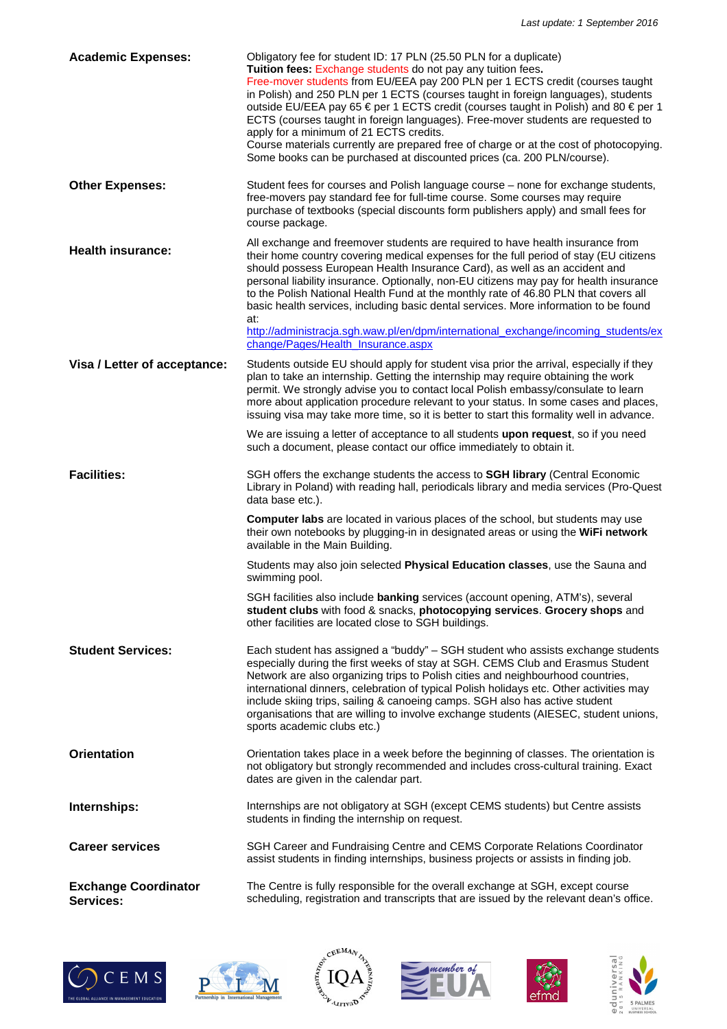| <b>Academic Expenses:</b>                | Obligatory fee for student ID: 17 PLN (25.50 PLN for a duplicate)<br>Tuition fees: Exchange students do not pay any tuition fees.<br>Free-mover students from EU/EEA pay 200 PLN per 1 ECTS credit (courses taught<br>in Polish) and 250 PLN per 1 ECTS (courses taught in foreign languages), students<br>outside EU/EEA pay 65 € per 1 ECTS credit (courses taught in Polish) and 80 € per 1<br>ECTS (courses taught in foreign languages). Free-mover students are requested to<br>apply for a minimum of 21 ECTS credits.<br>Course materials currently are prepared free of charge or at the cost of photocopying.<br>Some books can be purchased at discounted prices (ca. 200 PLN/course). |
|------------------------------------------|---------------------------------------------------------------------------------------------------------------------------------------------------------------------------------------------------------------------------------------------------------------------------------------------------------------------------------------------------------------------------------------------------------------------------------------------------------------------------------------------------------------------------------------------------------------------------------------------------------------------------------------------------------------------------------------------------|
| <b>Other Expenses:</b>                   | Student fees for courses and Polish language course - none for exchange students,<br>free-movers pay standard fee for full-time course. Some courses may require<br>purchase of textbooks (special discounts form publishers apply) and small fees for<br>course package.                                                                                                                                                                                                                                                                                                                                                                                                                         |
| <b>Health insurance:</b>                 | All exchange and freemover students are required to have health insurance from<br>their home country covering medical expenses for the full period of stay (EU citizens<br>should possess European Health Insurance Card), as well as an accident and<br>personal liability insurance. Optionally, non-EU citizens may pay for health insurance<br>to the Polish National Health Fund at the monthly rate of 46.80 PLN that covers all<br>basic health services, including basic dental services. More information to be found<br>at:<br>http://administracja.sgh.waw.pl/en/dpm/international_exchange/incoming_students/ex<br>change/Pages/Health_Insurance.aspx                                 |
| Visa / Letter of acceptance:             | Students outside EU should apply for student visa prior the arrival, especially if they<br>plan to take an internship. Getting the internship may require obtaining the work<br>permit. We strongly advise you to contact local Polish embassy/consulate to learn<br>more about application procedure relevant to your status. In some cases and places,<br>issuing visa may take more time, so it is better to start this formality well in advance.                                                                                                                                                                                                                                             |
|                                          | We are issuing a letter of acceptance to all students upon request, so if you need<br>such a document, please contact our office immediately to obtain it.                                                                                                                                                                                                                                                                                                                                                                                                                                                                                                                                        |
| <b>Facilities:</b>                       | SGH offers the exchange students the access to SGH library (Central Economic<br>Library in Poland) with reading hall, periodicals library and media services (Pro-Quest<br>data base etc.).                                                                                                                                                                                                                                                                                                                                                                                                                                                                                                       |
|                                          | <b>Computer labs</b> are located in various places of the school, but students may use<br>their own notebooks by plugging-in in designated areas or using the WiFi network<br>available in the Main Building.                                                                                                                                                                                                                                                                                                                                                                                                                                                                                     |
|                                          | Students may also join selected Physical Education classes, use the Sauna and<br>swimming pool.                                                                                                                                                                                                                                                                                                                                                                                                                                                                                                                                                                                                   |
|                                          | SGH facilities also include banking services (account opening, ATM's), several<br>student clubs with food & snacks, photocopying services. Grocery shops and<br>other facilities are located close to SGH buildings.                                                                                                                                                                                                                                                                                                                                                                                                                                                                              |
| <b>Student Services:</b>                 | Each student has assigned a "buddy" - SGH student who assists exchange students<br>especially during the first weeks of stay at SGH. CEMS Club and Erasmus Student<br>Network are also organizing trips to Polish cities and neighbourhood countries,<br>international dinners, celebration of typical Polish holidays etc. Other activities may<br>include skiing trips, sailing & canoeing camps. SGH also has active student<br>organisations that are willing to involve exchange students (AIESEC, student unions,<br>sports academic clubs etc.)                                                                                                                                            |
| <b>Orientation</b>                       | Orientation takes place in a week before the beginning of classes. The orientation is<br>not obligatory but strongly recommended and includes cross-cultural training. Exact<br>dates are given in the calendar part.                                                                                                                                                                                                                                                                                                                                                                                                                                                                             |
| Internships:                             | Internships are not obligatory at SGH (except CEMS students) but Centre assists<br>students in finding the internship on request.                                                                                                                                                                                                                                                                                                                                                                                                                                                                                                                                                                 |
| <b>Career services</b>                   | SGH Career and Fundraising Centre and CEMS Corporate Relations Coordinator<br>assist students in finding internships, business projects or assists in finding job.                                                                                                                                                                                                                                                                                                                                                                                                                                                                                                                                |
| <b>Exchange Coordinator</b><br>Services: | The Centre is fully responsible for the overall exchange at SGH, except course<br>scheduling, registration and transcripts that are issued by the relevant dean's office.                                                                                                                                                                                                                                                                                                                                                                                                                                                                                                                         |